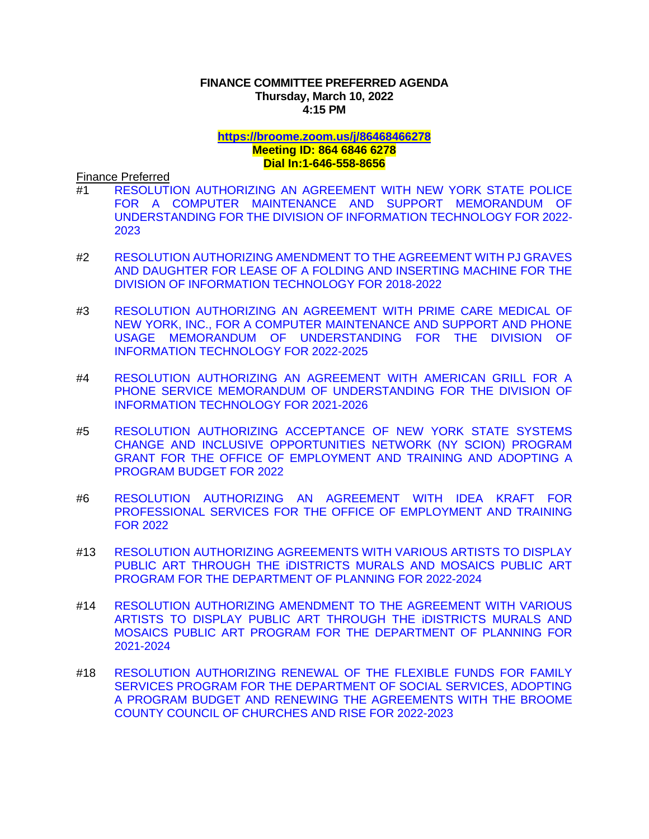## **FINANCE COMMITTEE PREFERRED AGENDA Thursday, March 10, 2022 4:15 PM**

## **<https://broome.zoom.us/j/86468466278> Meeting ID: 864 6846 6278 Dial In:1-646-558-8656**

Finance Preferred

- #1 [RESOLUTION AUTHORIZING AN AGREEMENT WITH NEW YORK STATE POLICE](https://www.gobroomecounty.com/sites/default/files/dept/legis/03172022-01.pdf)  [FOR A COMPUTER MAINTENANCE AND SUPPORT MEMORANDUM OF](https://www.gobroomecounty.com/sites/default/files/dept/legis/03172022-01.pdf)  [UNDERSTANDING FOR THE DIVISION OF INFORMATION TECHNOLOGY FOR 2022-](https://www.gobroomecounty.com/sites/default/files/dept/legis/03172022-01.pdf) [2023](https://www.gobroomecounty.com/sites/default/files/dept/legis/03172022-01.pdf)
- #2 [RESOLUTION AUTHORIZING AMENDMENT TO THE AGREEMENT WITH PJ GRAVES](https://www.gobroomecounty.com/sites/default/files/dept/legis/03172022-02.pdf)  [AND DAUGHTER FOR LEASE OF A FOLDING AND INSERTING MACHINE FOR THE](https://www.gobroomecounty.com/sites/default/files/dept/legis/03172022-02.pdf)  [DIVISION OF INFORMATION TECHNOLOGY FOR 2018-2022](https://www.gobroomecounty.com/sites/default/files/dept/legis/03172022-02.pdf)
- #3 [RESOLUTION AUTHORIZING AN AGREEMENT WITH PRIME CARE MEDICAL OF](https://www.gobroomecounty.com/sites/default/files/dept/legis/03172022-03.pdf)  [NEW YORK, INC., FOR A COMPUTER MAINTENANCE AND SUPPORT AND PHONE](https://www.gobroomecounty.com/sites/default/files/dept/legis/03172022-03.pdf)  [USAGE MEMORANDUM OF UNDERSTANDING FOR THE DIVISION OF](https://www.gobroomecounty.com/sites/default/files/dept/legis/03172022-03.pdf)  [INFORMATION TECHNOLOGY FOR 2022-2025](https://www.gobroomecounty.com/sites/default/files/dept/legis/03172022-03.pdf)
- #4 [RESOLUTION AUTHORIZING AN AGREEMENT WITH AMERICAN GRILL FOR A](https://www.gobroomecounty.com/sites/default/files/dept/legis/03172022-04.pdf)  [PHONE SERVICE MEMORANDUM OF UNDERSTANDING FOR THE DIVISION OF](https://www.gobroomecounty.com/sites/default/files/dept/legis/03172022-04.pdf)  [INFORMATION TECHNOLOGY FOR 2021-2026](https://www.gobroomecounty.com/sites/default/files/dept/legis/03172022-04.pdf)
- #5 [RESOLUTION AUTHORIZING ACCEPTANCE OF NEW YORK STATE SYSTEMS](https://www.gobroomecounty.com/sites/default/files/dept/legis/03172022-05.pdf)  [CHANGE AND INCLUSIVE OPPORTUNITIES NETWORK \(NY SCION\) PROGRAM](https://www.gobroomecounty.com/sites/default/files/dept/legis/03172022-05.pdf)  [GRANT FOR THE OFFICE OF EMPLOYMENT AND TRAINING AND ADOPTING A](https://www.gobroomecounty.com/sites/default/files/dept/legis/03172022-05.pdf)  [PROGRAM BUDGET FOR 2022](https://www.gobroomecounty.com/sites/default/files/dept/legis/03172022-05.pdf)
- #6 [RESOLUTION AUTHORIZING AN AGREEMENT WITH IDEA KRAFT FOR](https://www.gobroomecounty.com/sites/default/files/dept/legis/03172022-06.pdf)  [PROFESSIONAL SERVICES FOR THE OFFICE OF EMPLOYMENT AND TRAINING](https://www.gobroomecounty.com/sites/default/files/dept/legis/03172022-06.pdf)  [FOR 2022](https://www.gobroomecounty.com/sites/default/files/dept/legis/03172022-06.pdf)
- #13 [RESOLUTION AUTHORIZING AGREEMENTS WITH VARIOUS ARTISTS TO DISPLAY](https://www.gobroomecounty.com/sites/default/files/dept/legis/03172022-13.pdf)  [PUBLIC ART THROUGH THE iDISTRICTS MURALS AND MOSAICS PUBLIC ART](https://www.gobroomecounty.com/sites/default/files/dept/legis/03172022-13.pdf)  [PROGRAM FOR THE DEPARTMENT OF PLANNING FOR 2022-2024](https://www.gobroomecounty.com/sites/default/files/dept/legis/03172022-13.pdf)
- #14 [RESOLUTION AUTHORIZING AMENDMENT TO THE AGREEMENT WITH VARIOUS](https://www.gobroomecounty.com/sites/default/files/dept/legis/03172022-14.pdf)  [ARTISTS TO DISPLAY PUBLIC ART THROUGH THE iDISTRICTS MURALS AND](https://www.gobroomecounty.com/sites/default/files/dept/legis/03172022-14.pdf)  [MOSAICS PUBLIC ART PROGRAM FOR THE DEPARTMENT OF PLANNING FOR](https://www.gobroomecounty.com/sites/default/files/dept/legis/03172022-14.pdf)  [2021-2024](https://www.gobroomecounty.com/sites/default/files/dept/legis/03172022-14.pdf)
- #18 [RESOLUTION AUTHORIZING RENEWAL OF THE FLEXIBLE FUNDS FOR FAMILY](https://www.gobroomecounty.com/sites/default/files/dept/legis/03172022-18.pdf)  [SERVICES PROGRAM FOR THE DEPARTMENT OF SOCIAL SERVICES, ADOPTING](https://www.gobroomecounty.com/sites/default/files/dept/legis/03172022-18.pdf)  [A PROGRAM BUDGET AND RENEWING THE AGREEMENTS WITH THE BROOME](https://www.gobroomecounty.com/sites/default/files/dept/legis/03172022-18.pdf)  [COUNTY COUNCIL OF CHURCHES AND RISE FOR 2022-2023](https://www.gobroomecounty.com/sites/default/files/dept/legis/03172022-18.pdf)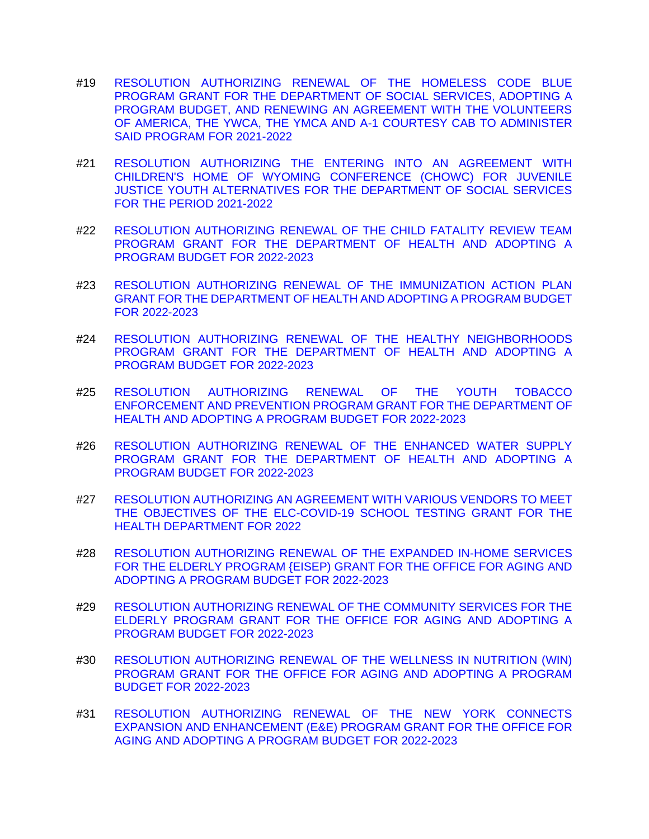- #19 [RESOLUTION AUTHORIZING RENEWAL OF THE HOMELESS CODE BLUE](https://www.gobroomecounty.com/sites/default/files/dept/legis/03172022-19.pdf)  [PROGRAM GRANT FOR THE DEPARTMENT OF SOCIAL SERVICES, ADOPTING A](https://www.gobroomecounty.com/sites/default/files/dept/legis/03172022-19.pdf)  [PROGRAM BUDGET, AND RENEWING AN AGREEMENT WITH THE VOLUNTEERS](https://www.gobroomecounty.com/sites/default/files/dept/legis/03172022-19.pdf)  [OF AMERICA, THE YWCA, THE YMCA AND A-1 COURTESY CAB TO ADMINISTER](https://www.gobroomecounty.com/sites/default/files/dept/legis/03172022-19.pdf)  [SAID PROGRAM FOR 2021-2022](https://www.gobroomecounty.com/sites/default/files/dept/legis/03172022-19.pdf)
- #21 [RESOLUTION AUTHORIZING THE ENTERING INTO AN AGREEMENT WITH](https://www.gobroomecounty.com/sites/default/files/dept/legis/03172022-21.pdf)  [CHILDREN'S HOME OF WYOMING CONFERENCE \(CHOWC\) FOR JUVENILE](https://www.gobroomecounty.com/sites/default/files/dept/legis/03172022-21.pdf)  [JUSTICE YOUTH ALTERNATIVES FOR THE DEPARTMENT OF SOCIAL SERVICES](https://www.gobroomecounty.com/sites/default/files/dept/legis/03172022-21.pdf)  [FOR THE PERIOD 2021-2022](https://www.gobroomecounty.com/sites/default/files/dept/legis/03172022-21.pdf)
- #22 [RESOLUTION AUTHORIZING RENEWAL OF THE CHILD FATALITY REVIEW TEAM](https://www.gobroomecounty.com/sites/default/files/dept/legis/03172022-22.pdf)  [PROGRAM GRANT FOR THE DEPARTMENT OF HEALTH AND ADOPTING A](https://www.gobroomecounty.com/sites/default/files/dept/legis/03172022-22.pdf)  [PROGRAM BUDGET FOR 2022-2023](https://www.gobroomecounty.com/sites/default/files/dept/legis/03172022-22.pdf)
- #23 [RESOLUTION AUTHORIZING RENEWAL OF THE IMMUNIZATION ACTION PLAN](https://www.gobroomecounty.com/sites/default/files/dept/legis/03172022-23a.pdf)  [GRANT FOR THE DEPARTMENT OF HEALTH AND ADOPTING A PROGRAM BUDGET](https://www.gobroomecounty.com/sites/default/files/dept/legis/03172022-23a.pdf)  [FOR 2022-2023](https://www.gobroomecounty.com/sites/default/files/dept/legis/03172022-23a.pdf)
- #24 [RESOLUTION AUTHORIZING RENEWAL OF THE HEALTHY NEIGHBORHOODS](https://www.gobroomecounty.com/sites/default/files/dept/legis/03172022-24.pdf)  [PROGRAM GRANT FOR THE DEPARTMENT OF HEALTH AND ADOPTING A](https://www.gobroomecounty.com/sites/default/files/dept/legis/03172022-24.pdf)  [PROGRAM BUDGET FOR 2022-2023](https://www.gobroomecounty.com/sites/default/files/dept/legis/03172022-24.pdf)
- #25 [RESOLUTION AUTHORIZING RENEWAL OF THE YOUTH TOBACCO](https://www.gobroomecounty.com/sites/default/files/dept/legis/03172022-25.pdf)  [ENFORCEMENT AND PREVENTION PROGRAM GRANT FOR THE DEPARTMENT OF](https://www.gobroomecounty.com/sites/default/files/dept/legis/03172022-25.pdf)  [HEALTH AND ADOPTING A PROGRAM BUDGET FOR 2022-2023](https://www.gobroomecounty.com/sites/default/files/dept/legis/03172022-25.pdf)
- #26 [RESOLUTION AUTHORIZING RENEWAL OF THE ENHANCED WATER SUPPLY](https://www.gobroomecounty.com/sites/default/files/dept/legis/03172022-26a.pdf)  [PROGRAM GRANT FOR THE DEPARTMENT OF HEALTH AND ADOPTING A](https://www.gobroomecounty.com/sites/default/files/dept/legis/03172022-26a.pdf)  [PROGRAM BUDGET FOR 2022-2023](https://www.gobroomecounty.com/sites/default/files/dept/legis/03172022-26a.pdf)
- #27 [RESOLUTION AUTHORIZING AN AGREEMENT WITH VARIOUS VENDORS TO MEET](https://www.gobroomecounty.com/sites/default/files/dept/legis/03172022-27a.pdf)  [THE OBJECTIVES OF THE ELC-COVID-19 SCHOOL TESTING GRANT FOR THE](https://www.gobroomecounty.com/sites/default/files/dept/legis/03172022-27a.pdf)  [HEALTH DEPARTMENT FOR 2022](https://www.gobroomecounty.com/sites/default/files/dept/legis/03172022-27a.pdf)
- #28 [RESOLUTION AUTHORIZING RENEWAL OF THE EXPANDED IN-HOME SERVICES](https://www.gobroomecounty.com/sites/default/files/dept/legis/03172022-28.pdf)  [FOR THE ELDERLY PROGRAM {EISEP\) GRANT FOR THE OFFICE FOR AGING AND](https://www.gobroomecounty.com/sites/default/files/dept/legis/03172022-28.pdf)  [ADOPTING A PROGRAM BUDGET FOR 2022-2023](https://www.gobroomecounty.com/sites/default/files/dept/legis/03172022-28.pdf)
- #29 [RESOLUTION AUTHORIZING RENEWAL OF THE COMMUNITY SERVICES FOR THE](https://www.gobroomecounty.com/sites/default/files/dept/legis/03172022-29.pdf)  [ELDERLY PROGRAM GRANT FOR THE OFFICE FOR AGING AND ADOPTING A](https://www.gobroomecounty.com/sites/default/files/dept/legis/03172022-29.pdf)  [PROGRAM BUDGET FOR 2022-2023](https://www.gobroomecounty.com/sites/default/files/dept/legis/03172022-29.pdf)
- #30 [RESOLUTION AUTHORIZING RENEWAL OF THE WELLNESS IN NUTRITION \(WIN\)](https://www.gobroomecounty.com/sites/default/files/dept/legis/03172022-30a.pdf)  [PROGRAM GRANT FOR THE OFFICE FOR AGING AND ADOPTING A PROGRAM](https://www.gobroomecounty.com/sites/default/files/dept/legis/03172022-30a.pdf)  [BUDGET FOR 2022-2023](https://www.gobroomecounty.com/sites/default/files/dept/legis/03172022-30a.pdf)
- #31 [RESOLUTION AUTHORIZING RENEWAL OF THE NEW YORK CONNECTS](https://www.gobroomecounty.com/sites/default/files/dept/legis/03172022-31.pdf)  [EXPANSION AND ENHANCEMENT \(E&E\) PROGRAM GRANT FOR THE OFFICE FOR](https://www.gobroomecounty.com/sites/default/files/dept/legis/03172022-31.pdf)  [AGING AND ADOPTING A PROGRAM BUDGET FOR 2022-2023](https://www.gobroomecounty.com/sites/default/files/dept/legis/03172022-31.pdf)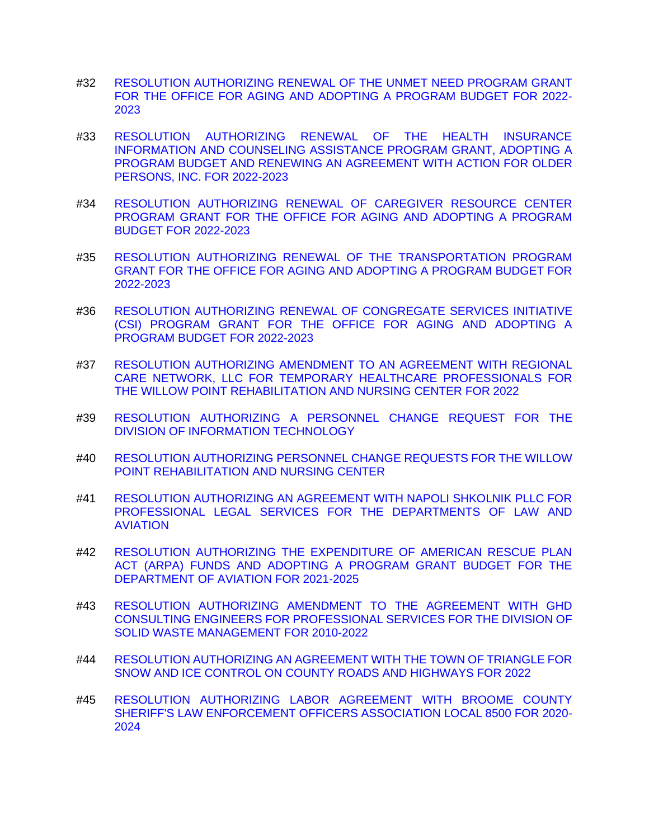- #32 [RESOLUTION AUTHORIZING RENEWAL OF THE UNMET NEED PROGRAM GRANT](https://www.gobroomecounty.com/sites/default/files/dept/legis/03172022-32.pdf)  [FOR THE OFFICE FOR AGING AND ADOPTING A PROGRAM BUDGET FOR 2022-](https://www.gobroomecounty.com/sites/default/files/dept/legis/03172022-32.pdf) [2023](https://www.gobroomecounty.com/sites/default/files/dept/legis/03172022-32.pdf)
- #33 [RESOLUTION AUTHORIZING RENEWAL OF THE HEALTH INSURANCE](https://www.gobroomecounty.com/sites/default/files/dept/legis/03172022-33.pdf)  [INFORMATION AND COUNSELING ASSISTANCE PROGRAM GRANT, ADOPTING A](https://www.gobroomecounty.com/sites/default/files/dept/legis/03172022-33.pdf)  [PROGRAM BUDGET AND RENEWING AN AGREEMENT WITH ACTION FOR OLDER](https://www.gobroomecounty.com/sites/default/files/dept/legis/03172022-33.pdf)  [PERSONS, INC. FOR 2022-2023](https://www.gobroomecounty.com/sites/default/files/dept/legis/03172022-33.pdf)
- #34 [RESOLUTION AUTHORIZING RENEWAL OF CAREGIVER RESOURCE CENTER](https://www.gobroomecounty.com/sites/default/files/dept/legis/03172022-34.pdf)  [PROGRAM GRANT FOR THE OFFICE FOR AGING AND ADOPTING A PROGRAM](https://www.gobroomecounty.com/sites/default/files/dept/legis/03172022-34.pdf)  [BUDGET FOR 2022-2023](https://www.gobroomecounty.com/sites/default/files/dept/legis/03172022-34.pdf)
- #35 [RESOLUTION AUTHORIZING RENEWAL OF THE](https://www.gobroomecounty.com/sites/default/files/dept/legis/03172022-35.pdf) TRANSPORTATION PROGRAM [GRANT FOR THE OFFICE FOR AGING AND ADOPTING A PROGRAM BUDGET FOR](https://www.gobroomecounty.com/sites/default/files/dept/legis/03172022-35.pdf)  [2022-2023](https://www.gobroomecounty.com/sites/default/files/dept/legis/03172022-35.pdf)
- #36 [RESOLUTION AUTHORIZING RENEWAL OF CONGREGATE SERVICES INITIATIVE](https://www.gobroomecounty.com/sites/default/files/dept/legis/03172022-36.pdf)  [\(CSI\) PROGRAM GRANT FOR THE OFFICE FOR AGING AND ADOPTING A](https://www.gobroomecounty.com/sites/default/files/dept/legis/03172022-36.pdf)  [PROGRAM BUDGET FOR 2022-2023](https://www.gobroomecounty.com/sites/default/files/dept/legis/03172022-36.pdf)
- #37 [RESOLUTION AUTHORIZING AMENDMENT TO AN AGREEMENT WITH REGIONAL](https://www.gobroomecounty.com/sites/default/files/dept/legis/03172022-37.pdf)  [CARE NETWORK, LLC FOR TEMPORARY HEALTHCARE PROFESSIONALS FOR](https://www.gobroomecounty.com/sites/default/files/dept/legis/03172022-37.pdf)  [THE WILLOW POINT REHABILITATION AND NURSING CENTER FOR 2022](https://www.gobroomecounty.com/sites/default/files/dept/legis/03172022-37.pdf)
- #39 [RESOLUTION AUTHORIZING A PERSONNEL CHANGE REQUEST FOR THE](https://www.gobroomecounty.com/sites/default/files/dept/legis/03172022-39.pdf)  [DIVISION OF INFORMATION TECHNOLOGY](https://www.gobroomecounty.com/sites/default/files/dept/legis/03172022-39.pdf)
- #40 [RESOLUTION AUTHORIZING PERSONNEL CHANGE REQUESTS FOR THE WILLOW](https://www.gobroomecounty.com/sites/default/files/dept/legis/03172022-40.pdf)  [POINT REHABILITATION AND NURSING CENTER](https://www.gobroomecounty.com/sites/default/files/dept/legis/03172022-40.pdf)
- #41 [RESOLUTION AUTHORIZING AN AGREEMENT WITH NAPOLI SHKOLNIK PLLC FOR](https://www.gobroomecounty.com/sites/default/files/dept/legis/03172022-41.pdf)  [PROFESSIONAL LEGAL SERVICES FOR THE DEPARTMENTS OF LAW AND](https://www.gobroomecounty.com/sites/default/files/dept/legis/03172022-41.pdf)  [AVIATION](https://www.gobroomecounty.com/sites/default/files/dept/legis/03172022-41.pdf)
- #42 [RESOLUTION AUTHORIZING THE EXPENDITURE OF AMERICAN RESCUE PLAN](https://www.gobroomecounty.com/sites/default/files/dept/legis/03172022-42.pdf)  [ACT \(ARPA\) FUNDS AND ADOPTING A PROGRAM GRANT BUDGET FOR THE](https://www.gobroomecounty.com/sites/default/files/dept/legis/03172022-42.pdf)  [DEPARTMENT OF AVIATION FOR 2021-2025](https://www.gobroomecounty.com/sites/default/files/dept/legis/03172022-42.pdf)
- #43 [RESOLUTION AUTHORIZING AMENDMENT TO THE AGREEMENT WITH GHD](https://www.gobroomecounty.com/sites/default/files/dept/legis/03172022-43.pdf)  [CONSULTING ENGINEERS FOR PROFESSIONAL SERVICES FOR THE DIVISION OF](https://www.gobroomecounty.com/sites/default/files/dept/legis/03172022-43.pdf)  [SOLID WASTE MANAGEMENT FOR 2010-2022](https://www.gobroomecounty.com/sites/default/files/dept/legis/03172022-43.pdf)
- #44 [RESOLUTION AUTHORIZING AN AGREEMENT WITH THE TOWN OF TRIANGLE FOR](https://www.gobroomecounty.com/sites/default/files/dept/legis/03172022-44.pdf)  [SNOW AND ICE CONTROL ON COUNTY ROADS AND HIGHWAYS FOR 2022](https://www.gobroomecounty.com/sites/default/files/dept/legis/03172022-44.pdf)
- #45 [RESOLUTION AUTHORIZING LABOR AGREEMENT WITH BROOME COUNTY](https://www.gobroomecounty.com/sites/default/files/dept/legis/03172022-45a.pdf)  [SHERIFF'S LAW ENFORCEMENT OFFICERS ASSOCIATION LOCAL 8500 FOR 2020-](https://www.gobroomecounty.com/sites/default/files/dept/legis/03172022-45a.pdf) [2024](https://www.gobroomecounty.com/sites/default/files/dept/legis/03172022-45a.pdf)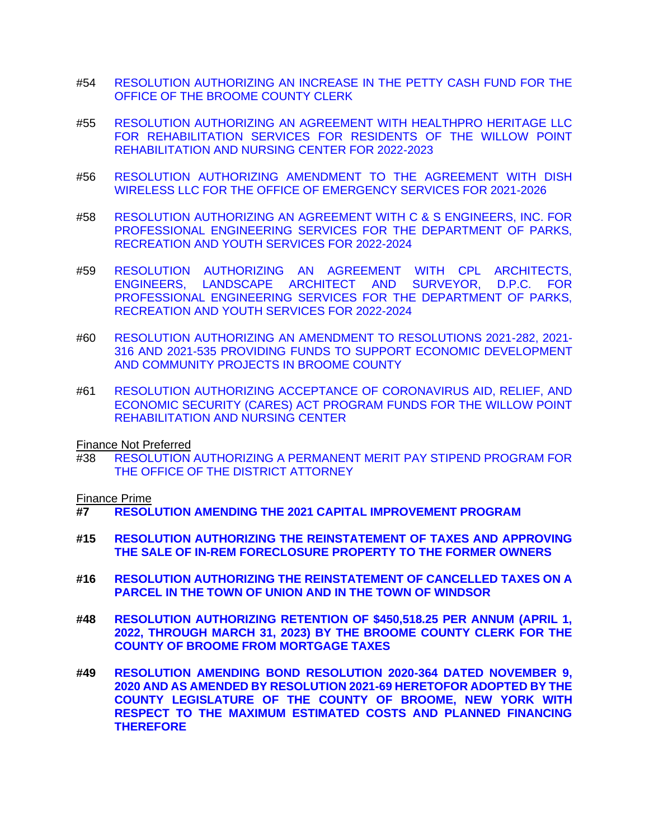- #54 [RESOLUTION AUTHORIZING AN INCREASE IN THE PETTY CASH FUND FOR THE](https://www.gobroomecounty.com/sites/default/files/dept/legis/03172022-54.pdf)  [OFFICE OF THE BROOME COUNTY CLERK](https://www.gobroomecounty.com/sites/default/files/dept/legis/03172022-54.pdf)
- #55 [RESOLUTION AUTHORIZING AN AGREEMENT WITH HEALTHPRO HERITAGE LLC](https://www.gobroomecounty.com/sites/default/files/dept/legis/03172022-55.pdf)  [FOR REHABILITATION SERVICES FOR RESIDENTS OF THE WILLOW POINT](https://www.gobroomecounty.com/sites/default/files/dept/legis/03172022-55.pdf)  [REHABILITATION AND NURSING CENTER FOR 2022-2023](https://www.gobroomecounty.com/sites/default/files/dept/legis/03172022-55.pdf)
- #56 [RESOLUTION AUTHORIZING AMENDMENT TO THE AGREEMENT WITH DISH](https://www.gobroomecounty.com/sites/default/files/dept/legis/03172022-56.pdf)  [WIRELESS LLC FOR THE OFFICE OF EMERGENCY SERVICES FOR 2021-2026](https://www.gobroomecounty.com/sites/default/files/dept/legis/03172022-56.pdf)
- #58 [RESOLUTION AUTHORIZING AN AGREEMENT WITH C & S ENGINEERS, INC. FOR](https://www.gobroomecounty.com/sites/default/files/dept/legis/03172022-58.pdf)  [PROFESSIONAL ENGINEERING SERVICES FOR THE DEPARTMENT OF PARKS,](https://www.gobroomecounty.com/sites/default/files/dept/legis/03172022-58.pdf)  [RECREATION AND YOUTH SERVICES FOR 2022-2024](https://www.gobroomecounty.com/sites/default/files/dept/legis/03172022-58.pdf)
- #59 [RESOLUTION AUTHORIZING AN AGREEMENT WITH CPL ARCHITECTS,](https://www.gobroomecounty.com/sites/default/files/dept/legis/03172022-59.pdf)  [ENGINEERS, LANDSCAPE ARCHITECT AND SURVEYOR, D.P.C. FOR](https://www.gobroomecounty.com/sites/default/files/dept/legis/03172022-59.pdf)  [PROFESSIONAL ENGINEERING SERVICES FOR THE DEPARTMENT OF PARKS,](https://www.gobroomecounty.com/sites/default/files/dept/legis/03172022-59.pdf)  [RECREATION AND YOUTH SERVICES FOR 2022-2024](https://www.gobroomecounty.com/sites/default/files/dept/legis/03172022-59.pdf)
- #60 [RESOLUTION AUTHORIZING AN AMENDMENT TO RESOLUTIONS 2021-282, 2021-](https://www.gobroomecounty.com/sites/default/files/dept/legis/03172022-60.pdf) [316 AND 2021-535 PROVIDING FUNDS TO SUPPORT ECONOMIC DEVELOPMENT](https://www.gobroomecounty.com/sites/default/files/dept/legis/03172022-60.pdf)  [AND COMMUNITY PROJECTS IN BROOME COUNTY](https://www.gobroomecounty.com/sites/default/files/dept/legis/03172022-60.pdf)
- #61 [RESOLUTION AUTHORIZING ACCEPTANCE OF CORONAVIRUS AID, RELIEF, AND](https://www.gobroomecounty.com/sites/default/files/dept/legis/03172022-61.pdf)  [ECONOMIC SECURITY \(CARES\) ACT PROGRAM FUNDS FOR THE WILLOW POINT](https://www.gobroomecounty.com/sites/default/files/dept/legis/03172022-61.pdf)  [REHABILITATION AND NURSING CENTER](https://www.gobroomecounty.com/sites/default/files/dept/legis/03172022-61.pdf)

Finance Not Preferred

#38 [RESOLUTION AUTHORIZING A PERMANENT MERIT PAY STIPEND PROGRAM FOR](https://www.gobroomecounty.com/sites/default/files/dept/legis/03172022-38.pdf)  [THE OFFICE OF THE DISTRICT ATTORNEY](https://www.gobroomecounty.com/sites/default/files/dept/legis/03172022-38.pdf)

Finance Prime

- **#7 [RESOLUTION AMENDING THE 2021 CAPITAL IMPROVEMENT PROGRAM](https://www.gobroomecounty.com/sites/default/files/dept/legis/03172022-07.pdf)**
- **#15 [RESOLUTION AUTHORIZING THE REINSTATEMENT OF TAXES AND APPROVING](https://www.gobroomecounty.com/sites/default/files/dept/legis/03172022-15.pdf)  THE SALE OF IN-REM FORECLOSURE [PROPERTY TO THE FORMER OWNERS](https://www.gobroomecounty.com/sites/default/files/dept/legis/03172022-15.pdf)**
- **#16 [RESOLUTION AUTHORIZING THE REINSTATEMENT OF CANCELLED TAXES ON A](https://www.gobroomecounty.com/sites/default/files/dept/legis/03172022-16.pdf)  [PARCEL IN THE TOWN OF UNION AND IN THE TOWN OF WINDSOR](https://www.gobroomecounty.com/sites/default/files/dept/legis/03172022-16.pdf)**
- **#48 [RESOLUTION AUTHORIZING RETENTION OF \\$450,518.25 PER ANNUM \(APRIL 1,](https://www.gobroomecounty.com/sites/default/files/dept/legis/03172022-48.pdf)  [2022, THROUGH MARCH 31, 2023\) BY THE BROOME COUNTY CLERK FOR THE](https://www.gobroomecounty.com/sites/default/files/dept/legis/03172022-48.pdf)  [COUNTY OF BROOME FROM MORTGAGE TAXES](https://www.gobroomecounty.com/sites/default/files/dept/legis/03172022-48.pdf)**
- **#49 [RESOLUTION AMENDING BOND RESOLUTION 2020-364 DATED NOVEMBER 9,](https://www.gobroomecounty.com/sites/default/files/dept/legis/03172022-49.pdf)  [2020 AND AS AMENDED BY RESOLUTION 2021-69 HERETOFOR ADOPTED BY THE](https://www.gobroomecounty.com/sites/default/files/dept/legis/03172022-49.pdf)  [COUNTY LEGISLATURE OF THE COUNTY OF BROOME, NEW YORK WITH](https://www.gobroomecounty.com/sites/default/files/dept/legis/03172022-49.pdf)  [RESPECT TO THE MAXIMUM ESTIMATED COSTS AND PLANNED FINANCING](https://www.gobroomecounty.com/sites/default/files/dept/legis/03172022-49.pdf)  [THEREFORE](https://www.gobroomecounty.com/sites/default/files/dept/legis/03172022-49.pdf)**